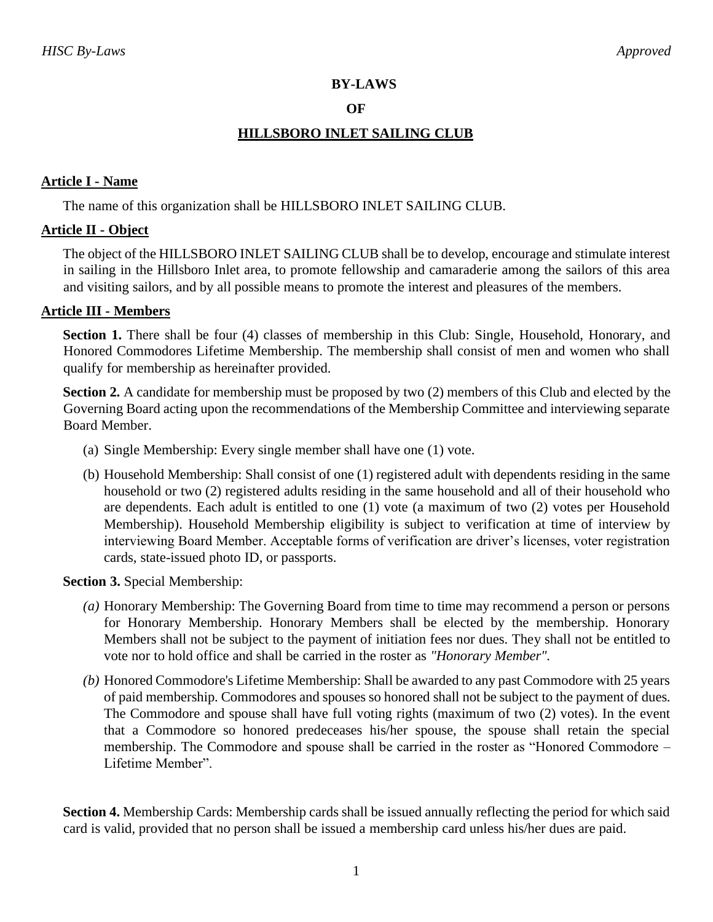## **BY-LAWS**

#### **OF**

# **HILLSBORO INLET SAILING CLUB**

## **Article I - Name**

The name of this organization shall be HILLSBORO INLET SAILING CLUB.

## **Article II - Object**

The object of the HILLSBORO INLET SAILING CLUB shall be to develop, encourage and stimulate interest in sailing in the Hillsboro Inlet area, to promote fellowship and camaraderie among the sailors of this area and visiting sailors, and by all possible means to promote the interest and pleasures of the members.

## **Article III - Members**

**Section 1.** There shall be four (4) classes of membership in this Club: Single, Household, Honorary, and Honored Commodores Lifetime Membership. The membership shall consist of men and women who shall qualify for membership as hereinafter provided.

**Section 2.** A candidate for membership must be proposed by two (2) members of this Club and elected by the Governing Board acting upon the recommendations of the Membership Committee and interviewing separate Board Member.

- (a) Single Membership: Every single member shall have one (1) vote.
- (b) Household Membership: Shall consist of one (1) registered adult with dependents residing in the same household or two (2) registered adults residing in the same household and all of their household who are dependents. Each adult is entitled to one (1) vote (a maximum of two (2) votes per Household Membership). Household Membership eligibility is subject to verification at time of interview by interviewing Board Member. Acceptable forms of verification are driver's licenses, voter registration cards, state-issued photo ID, or passports.

**Section 3.** Special Membership:

- *(a)* Honorary Membership: The Governing Board from time to time may recommend a person or persons for Honorary Membership. Honorary Members shall be elected by the membership. Honorary Members shall not be subject to the payment of initiation fees nor dues. They shall not be entitled to vote nor to hold office and shall be carried in the roster as *"Honorary Member".*
- *(b)* Honored Commodore's Lifetime Membership: Shall be awarded to any past Commodore with 25 years of paid membership. Commodores and spouses so honored shall not be subject to the payment of dues. The Commodore and spouse shall have full voting rights (maximum of two (2) votes). In the event that a Commodore so honored predeceases his/her spouse, the spouse shall retain the special membership. The Commodore and spouse shall be carried in the roster as "Honored Commodore – Lifetime Member".

**Section 4.** Membership Cards: Membership cards shall be issued annually reflecting the period for which said card is valid, provided that no person shall be issued a membership card unless his/her dues are paid.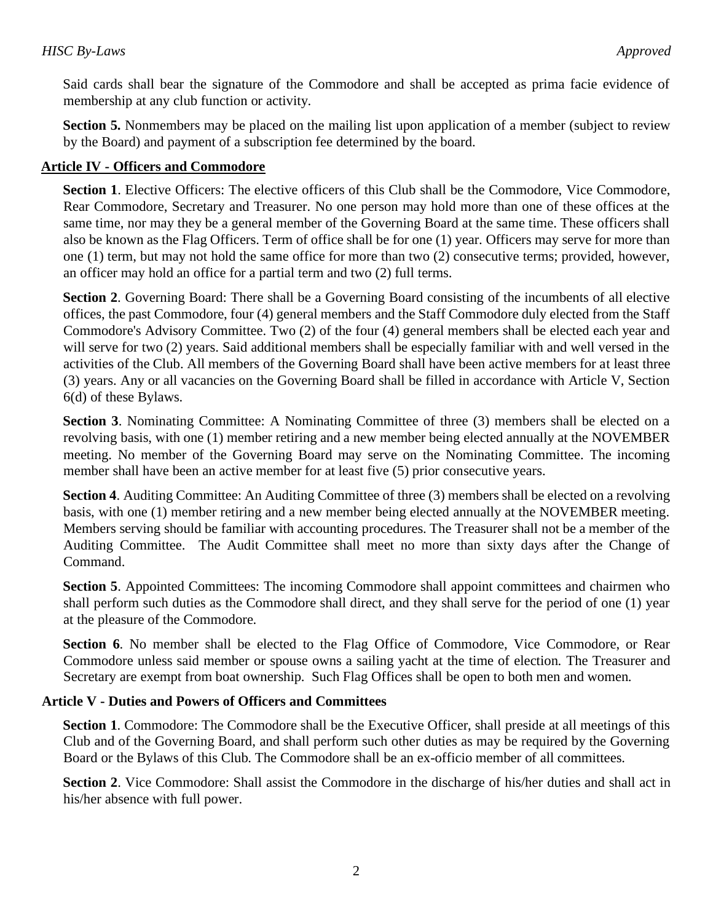Said cards shall bear the signature of the Commodore and shall be accepted as prima facie evidence of membership at any club function or activity.

**Section 5.** Nonmembers may be placed on the mailing list upon application of a member (subject to review by the Board) and payment of a subscription fee determined by the board.

## **Article IV - Officers and Commodore**

**Section 1**. Elective Officers: The elective officers of this Club shall be the Commodore, Vice Commodore, Rear Commodore, Secretary and Treasurer. No one person may hold more than one of these offices at the same time, nor may they be a general member of the Governing Board at the same time. These officers shall also be known as the Flag Officers. Term of office shall be for one (1) year. Officers may serve for more than one (1) term, but may not hold the same office for more than two (2) consecutive terms; provided, however, an officer may hold an office for a partial term and two (2) full terms.

**Section 2**. Governing Board: There shall be a Governing Board consisting of the incumbents of all elective offices, the past Commodore, four (4) general members and the Staff Commodore duly elected from the Staff Commodore's Advisory Committee. Two (2) of the four (4) general members shall be elected each year and will serve for two (2) years. Said additional members shall be especially familiar with and well versed in the activities of the Club. All members of the Governing Board shall have been active members for at least three (3) years. Any or all vacancies on the Governing Board shall be filled in accordance with Article V, Section 6(d) of these Bylaws.

**Section 3**. Nominating Committee: A Nominating Committee of three (3) members shall be elected on a revolving basis, with one (1) member retiring and a new member being elected annually at the NOVEMBER meeting. No member of the Governing Board may serve on the Nominating Committee. The incoming member shall have been an active member for at least five (5) prior consecutive years.

**Section 4.** Auditing Committee: An Auditing Committee of three (3) members shall be elected on a revolving basis, with one (1) member retiring and a new member being elected annually at the NOVEMBER meeting. Members serving should be familiar with accounting procedures. The Treasurer shall not be a member of the Auditing Committee. The Audit Committee shall meet no more than sixty days after the Change of Command.

**Section 5.** Appointed Committees: The incoming Commodore shall appoint committees and chairmen who shall perform such duties as the Commodore shall direct, and they shall serve for the period of one (1) year at the pleasure of the Commodore.

**Section 6**. No member shall be elected to the Flag Office of Commodore, Vice Commodore, or Rear Commodore unless said member or spouse owns a sailing yacht at the time of election. The Treasurer and Secretary are exempt from boat ownership. Such Flag Offices shall be open to both men and women.

#### **Article V - Duties and Powers of Officers and Committees**

**Section 1.** Commodore: The Commodore shall be the Executive Officer, shall preside at all meetings of this Club and of the Governing Board, and shall perform such other duties as may be required by the Governing Board or the Bylaws of this Club. The Commodore shall be an ex-officio member of all committees.

**Section 2**. Vice Commodore: Shall assist the Commodore in the discharge of his/her duties and shall act in his/her absence with full power.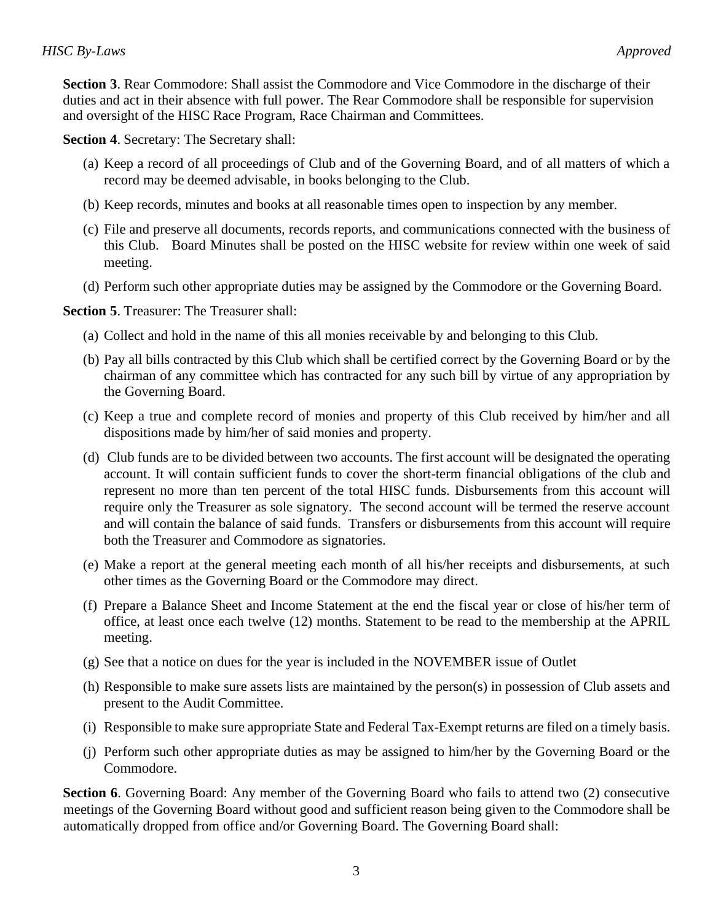**Section 3**. Rear Commodore: Shall assist the Commodore and Vice Commodore in the discharge of their duties and act in their absence with full power. The Rear Commodore shall be responsible for supervision and oversight of the HISC Race Program, Race Chairman and Committees.

**Section 4**. Secretary: The Secretary shall:

- (a) Keep a record of all proceedings of Club and of the Governing Board, and of all matters of which a record may be deemed advisable, in books belonging to the Club.
- (b) Keep records, minutes and books at all reasonable times open to inspection by any member.
- (c) File and preserve all documents, records reports, and communications connected with the business of this Club. Board Minutes shall be posted on the HISC website for review within one week of said meeting.
- (d) Perform such other appropriate duties may be assigned by the Commodore or the Governing Board.

**Section 5**. Treasurer: The Treasurer shall:

- (a) Collect and hold in the name of this all monies receivable by and belonging to this Club.
- (b) Pay all bills contracted by this Club which shall be certified correct by the Governing Board or by the chairman of any committee which has contracted for any such bill by virtue of any appropriation by the Governing Board.
- (c) Keep a true and complete record of monies and property of this Club received by him/her and all dispositions made by him/her of said monies and property.
- (d) Club funds are to be divided between two accounts. The first account will be designated the operating account. It will contain sufficient funds to cover the short-term financial obligations of the club and represent no more than ten percent of the total HISC funds. Disbursements from this account will require only the Treasurer as sole signatory. The second account will be termed the reserve account and will contain the balance of said funds. Transfers or disbursements from this account will require both the Treasurer and Commodore as signatories.
- (e) Make a report at the general meeting each month of all his/her receipts and disbursements, at such other times as the Governing Board or the Commodore may direct.
- (f) Prepare a Balance Sheet and Income Statement at the end the fiscal year or close of his/her term of office, at least once each twelve (12) months. Statement to be read to the membership at the APRIL meeting.
- (g) See that a notice on dues for the year is included in the NOVEMBER issue of Outlet
- (h) Responsible to make sure assets lists are maintained by the person(s) in possession of Club assets and present to the Audit Committee.
- (i) Responsible to make sure appropriate State and Federal Tax-Exempt returns are filed on a timely basis.
- (j) Perform such other appropriate duties as may be assigned to him/her by the Governing Board or the Commodore.

**Section 6.** Governing Board: Any member of the Governing Board who fails to attend two (2) consecutive meetings of the Governing Board without good and sufficient reason being given to the Commodore shall be automatically dropped from office and/or Governing Board. The Governing Board shall: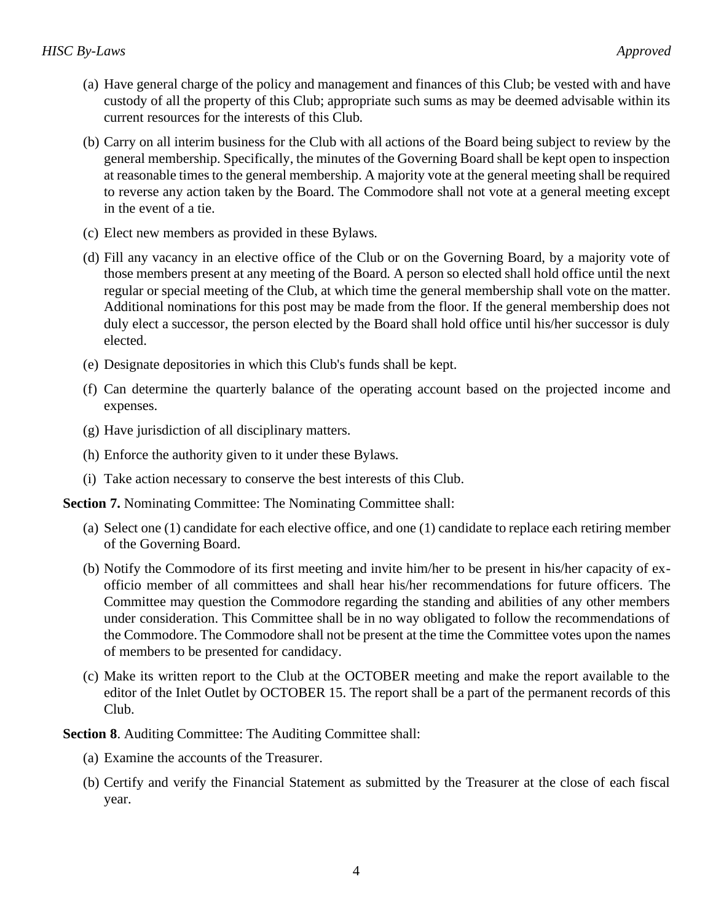- (a) Have general charge of the policy and management and finances of this Club; be vested with and have custody of all the property of this Club; appropriate such sums as may be deemed advisable within its current resources for the interests of this Club.
- (b) Carry on all interim business for the Club with all actions of the Board being subject to review by the general membership. Specifically, the minutes of the Governing Board shall be kept open to inspection at reasonable times to the general membership. A majority vote at the general meeting shall be required to reverse any action taken by the Board. The Commodore shall not vote at a general meeting except in the event of a tie.
- (c) Elect new members as provided in these Bylaws.
- (d) Fill any vacancy in an elective office of the Club or on the Governing Board, by a majority vote of those members present at any meeting of the Board. A person so elected shall hold office until the next regular or special meeting of the Club, at which time the general membership shall vote on the matter. Additional nominations for this post may be made from the floor. If the general membership does not duly elect a successor, the person elected by the Board shall hold office until his/her successor is duly elected.
- (e) Designate depositories in which this Club's funds shall be kept.
- (f) Can determine the quarterly balance of the operating account based on the projected income and expenses.
- (g) Have jurisdiction of all disciplinary matters.
- (h) Enforce the authority given to it under these Bylaws.
- (i) Take action necessary to conserve the best interests of this Club.

**Section 7.** Nominating Committee: The Nominating Committee shall:

- (a) Select one (1) candidate for each elective office, and one (1) candidate to replace each retiring member of the Governing Board.
- (b) Notify the Commodore of its first meeting and invite him/her to be present in his/her capacity of exofficio member of all committees and shall hear his/her recommendations for future officers. The Committee may question the Commodore regarding the standing and abilities of any other members under consideration. This Committee shall be in no way obligated to follow the recommendations of the Commodore. The Commodore shall not be present at the time the Committee votes upon the names of members to be presented for candidacy.
- (c) Make its written report to the Club at the OCTOBER meeting and make the report available to the editor of the Inlet Outlet by OCTOBER 15. The report shall be a part of the permanent records of this Club.

**Section 8**. Auditing Committee: The Auditing Committee shall:

- (a) Examine the accounts of the Treasurer.
- (b) Certify and verify the Financial Statement as submitted by the Treasurer at the close of each fiscal year.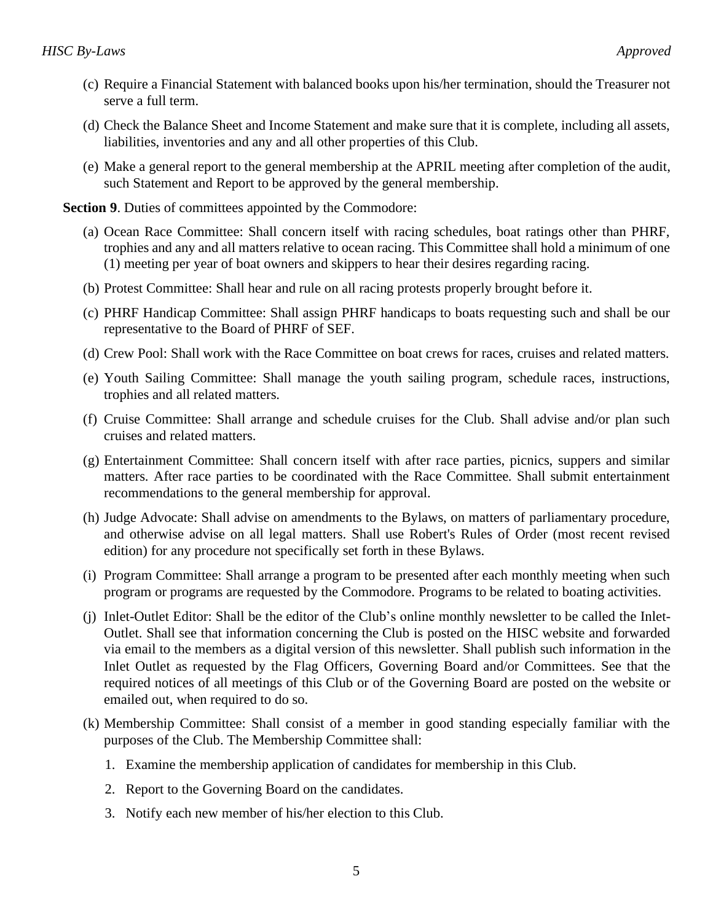- (c) Require a Financial Statement with balanced books upon his/her termination, should the Treasurer not serve a full term.
- (d) Check the Balance Sheet and Income Statement and make sure that it is complete, including all assets, liabilities, inventories and any and all other properties of this Club.
- (e) Make a general report to the general membership at the APRIL meeting after completion of the audit, such Statement and Report to be approved by the general membership.

**Section 9.** Duties of committees appointed by the Commodore:

- (a) Ocean Race Committee: Shall concern itself with racing schedules, boat ratings other than PHRF, trophies and any and all matters relative to ocean racing. This Committee shall hold a minimum of one (1) meeting per year of boat owners and skippers to hear their desires regarding racing.
- (b) Protest Committee: Shall hear and rule on all racing protests properly brought before it.
- (c) PHRF Handicap Committee: Shall assign PHRF handicaps to boats requesting such and shall be our representative to the Board of PHRF of SEF.
- (d) Crew Pool: Shall work with the Race Committee on boat crews for races, cruises and related matters.
- (e) Youth Sailing Committee: Shall manage the youth sailing program, schedule races, instructions, trophies and all related matters.
- (f) Cruise Committee: Shall arrange and schedule cruises for the Club. Shall advise and/or plan such cruises and related matters.
- (g) Entertainment Committee: Shall concern itself with after race parties, picnics, suppers and similar matters. After race parties to be coordinated with the Race Committee. Shall submit entertainment recommendations to the general membership for approval.
- (h) Judge Advocate: Shall advise on amendments to the Bylaws, on matters of parliamentary procedure, and otherwise advise on all legal matters. Shall use Robert's Rules of Order (most recent revised edition) for any procedure not specifically set forth in these Bylaws.
- (i) Program Committee: Shall arrange a program to be presented after each monthly meeting when such program or programs are requested by the Commodore. Programs to be related to boating activities.
- (j) Inlet-Outlet Editor: Shall be the editor of the Club's online monthly newsletter to be called the Inlet-Outlet. Shall see that information concerning the Club is posted on the HISC website and forwarded via email to the members as a digital version of this newsletter. Shall publish such information in the Inlet Outlet as requested by the Flag Officers, Governing Board and/or Committees. See that the required notices of all meetings of this Club or of the Governing Board are posted on the website or emailed out, when required to do so.
- (k) Membership Committee: Shall consist of a member in good standing especially familiar with the purposes of the Club. The Membership Committee shall:
	- 1. Examine the membership application of candidates for membership in this Club.
	- 2. Report to the Governing Board on the candidates.
	- 3. Notify each new member of his/her election to this Club.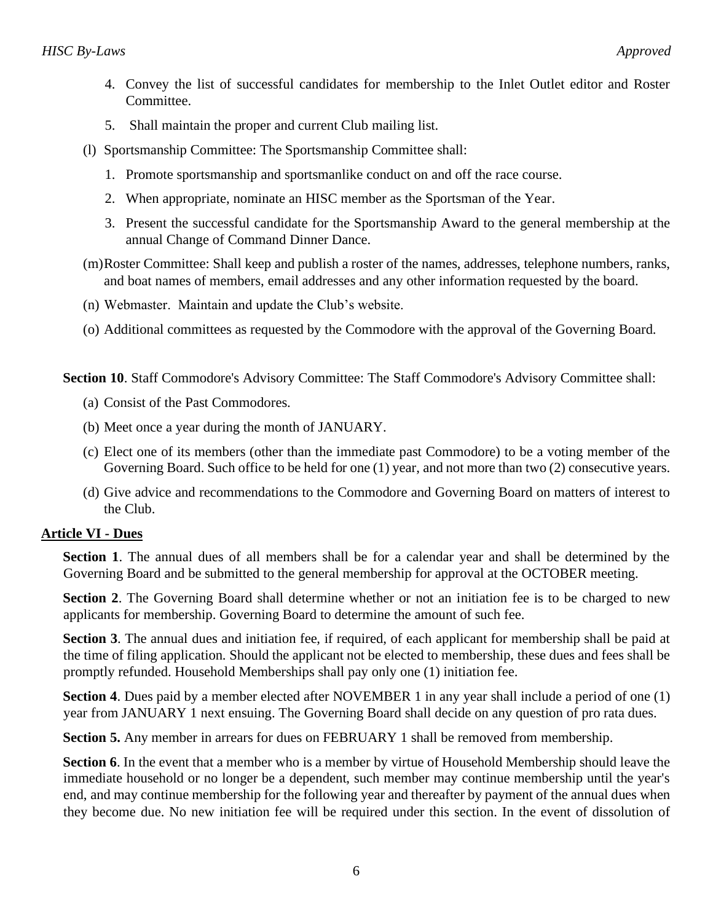- 4. Convey the list of successful candidates for membership to the Inlet Outlet editor and Roster Committee.
- 5. Shall maintain the proper and current Club mailing list.
- (l) Sportsmanship Committee: The Sportsmanship Committee shall:
	- 1. Promote sportsmanship and sportsmanlike conduct on and off the race course.
	- 2. When appropriate, nominate an HISC member as the Sportsman of the Year.
	- 3. Present the successful candidate for the Sportsmanship Award to the general membership at the annual Change of Command Dinner Dance.
- (m)Roster Committee: Shall keep and publish a roster of the names, addresses, telephone numbers, ranks, and boat names of members, email addresses and any other information requested by the board.
- (n) Webmaster. Maintain and update the Club's website.
- (o) Additional committees as requested by the Commodore with the approval of the Governing Board.

**Section 10**. Staff Commodore's Advisory Committee: The Staff Commodore's Advisory Committee shall:

- (a) Consist of the Past Commodores.
- (b) Meet once a year during the month of JANUARY.
- (c) Elect one of its members (other than the immediate past Commodore) to be a voting member of the Governing Board. Such office to be held for one (1) year, and not more than two (2) consecutive years.
- (d) Give advice and recommendations to the Commodore and Governing Board on matters of interest to the Club.

#### **Article VI - Dues**

**Section 1**. The annual dues of all members shall be for a calendar year and shall be determined by the Governing Board and be submitted to the general membership for approval at the OCTOBER meeting.

**Section 2**. The Governing Board shall determine whether or not an initiation fee is to be charged to new applicants for membership. Governing Board to determine the amount of such fee.

**Section 3**. The annual dues and initiation fee, if required, of each applicant for membership shall be paid at the time of filing application. Should the applicant not be elected to membership, these dues and fees shall be promptly refunded. Household Memberships shall pay only one (1) initiation fee.

**Section 4.** Dues paid by a member elected after NOVEMBER 1 in any year shall include a period of one (1) year from JANUARY 1 next ensuing. The Governing Board shall decide on any question of pro rata dues.

**Section 5.** Any member in arrears for dues on FEBRUARY 1 shall be removed from membership.

**Section 6**. In the event that a member who is a member by virtue of Household Membership should leave the immediate household or no longer be a dependent, such member may continue membership until the year's end, and may continue membership for the following year and thereafter by payment of the annual dues when they become due. No new initiation fee will be required under this section. In the event of dissolution of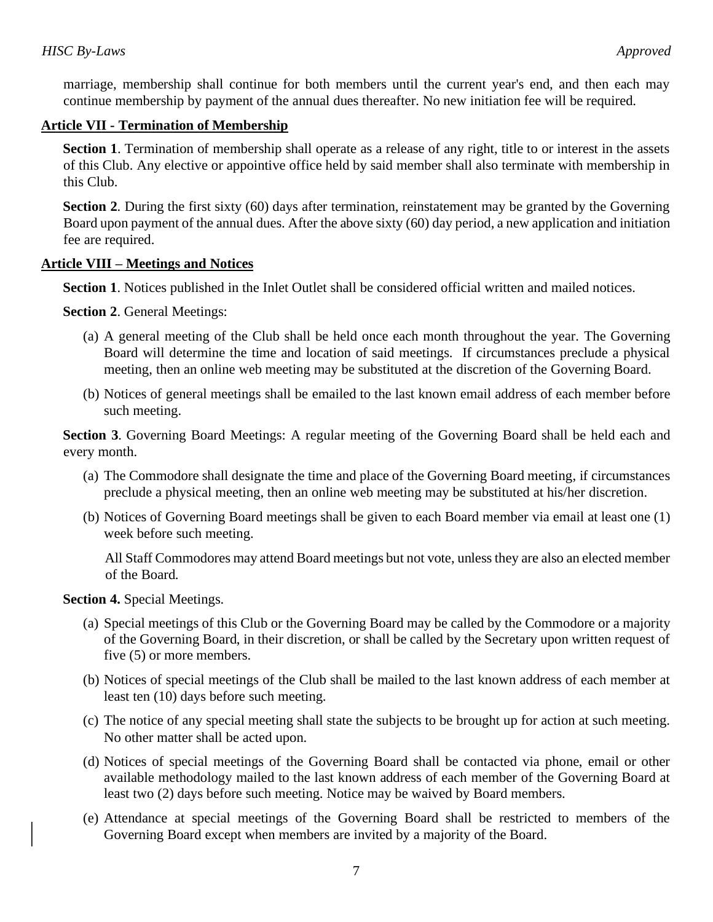marriage, membership shall continue for both members until the current year's end, and then each may continue membership by payment of the annual dues thereafter. No new initiation fee will be required.

## **Article VII - Termination of Membership**

**Section 1**. Termination of membership shall operate as a release of any right, title to or interest in the assets of this Club. Any elective or appointive office held by said member shall also terminate with membership in this Club.

**Section 2.** During the first sixty (60) days after termination, reinstatement may be granted by the Governing Board upon payment of the annual dues. After the above sixty (60) day period, a new application and initiation fee are required.

#### **Article VIII – Meetings and Notices**

**Section 1**. Notices published in the Inlet Outlet shall be considered official written and mailed notices.

**Section 2**. General Meetings:

- (a) A general meeting of the Club shall be held once each month throughout the year. The Governing Board will determine the time and location of said meetings. If circumstances preclude a physical meeting, then an online web meeting may be substituted at the discretion of the Governing Board.
- (b) Notices of general meetings shall be emailed to the last known email address of each member before such meeting.

**Section 3**. Governing Board Meetings: A regular meeting of the Governing Board shall be held each and every month.

- (a) The Commodore shall designate the time and place of the Governing Board meeting, if circumstances preclude a physical meeting, then an online web meeting may be substituted at his/her discretion.
- (b) Notices of Governing Board meetings shall be given to each Board member via email at least one (1) week before such meeting.

All Staff Commodores may attend Board meetings but not vote, unless they are also an elected member of the Board.

**Section 4.** Special Meetings.

- (a) Special meetings of this Club or the Governing Board may be called by the Commodore or a majority of the Governing Board, in their discretion, or shall be called by the Secretary upon written request of five (5) or more members.
- (b) Notices of special meetings of the Club shall be mailed to the last known address of each member at least ten (10) days before such meeting.
- (c) The notice of any special meeting shall state the subjects to be brought up for action at such meeting. No other matter shall be acted upon.
- (d) Notices of special meetings of the Governing Board shall be contacted via phone, email or other available methodology mailed to the last known address of each member of the Governing Board at least two (2) days before such meeting. Notice may be waived by Board members.
- (e) Attendance at special meetings of the Governing Board shall be restricted to members of the Governing Board except when members are invited by a majority of the Board.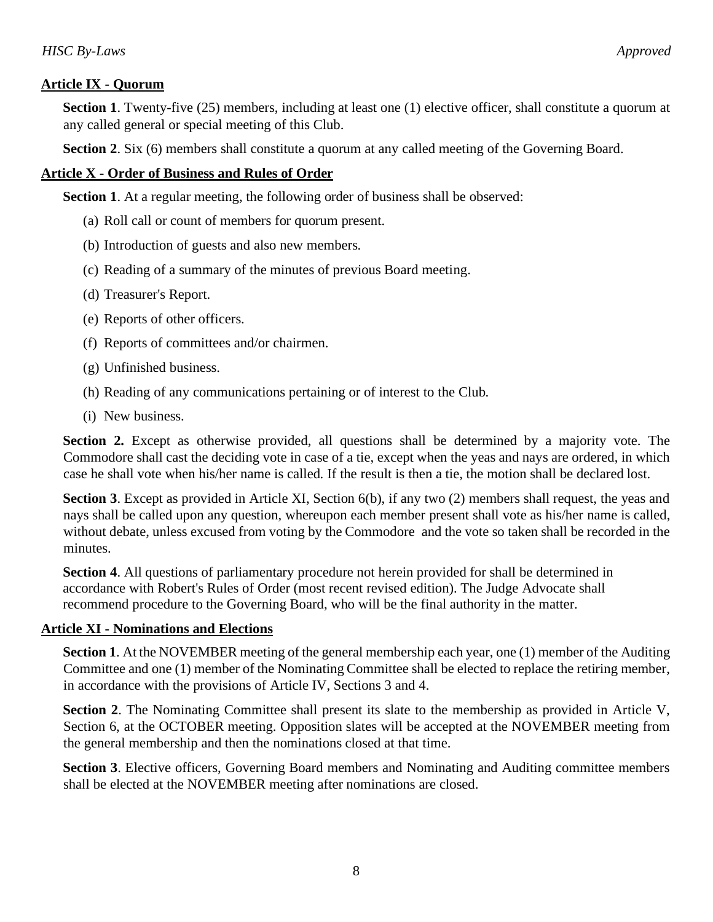## **Article IX - Quorum**

**Section 1.** Twenty-five (25) members, including at least one (1) elective officer, shall constitute a quorum at any called general or special meeting of this Club.

**Section 2.** Six (6) members shall constitute a quorum at any called meeting of the Governing Board.

## **Article X - Order of Business and Rules of Order**

**Section 1.** At a regular meeting, the following order of business shall be observed:

- (a) Roll call or count of members for quorum present.
- (b) Introduction of guests and also new members.
- (c) Reading of a summary of the minutes of previous Board meeting.
- (d) Treasurer's Report.
- (e) Reports of other officers.
- (f) Reports of committees and/or chairmen.
- (g) Unfinished business.
- (h) Reading of any communications pertaining or of interest to the Club.
- (i) New business.

**Section 2.** Except as otherwise provided, all questions shall be determined by a majority vote. The Commodore shall cast the deciding vote in case of a tie, except when the yeas and nays are ordered, in which case he shall vote when his/her name is called. If the result is then a tie, the motion shall be declared lost.

**Section 3**. Except as provided in Article XI, Section 6(b), if any two (2) members shall request, the yeas and nays shall be called upon any question, whereupon each member present shall vote as his/her name is called, without debate, unless excused from voting by the Commodore and the vote so taken shall be recorded in the minutes.

**Section 4**. All questions of parliamentary procedure not herein provided for shall be determined in accordance with Robert's Rules of Order (most recent revised edition). The Judge Advocate shall recommend procedure to the Governing Board, who will be the final authority in the matter.

#### **Article XI - Nominations and Elections**

**Section 1**. At the NOVEMBER meeting of the general membership each year, one (1) member of the Auditing Committee and one (1) member of the Nominating Committee shall be elected to replace the retiring member, in accordance with the provisions of Article IV, Sections 3 and 4.

**Section 2.** The Nominating Committee shall present its slate to the membership as provided in Article V, Section 6, at the OCTOBER meeting. Opposition slates will be accepted at the NOVEMBER meeting from the general membership and then the nominations closed at that time.

**Section 3**. Elective officers, Governing Board members and Nominating and Auditing committee members shall be elected at the NOVEMBER meeting after nominations are closed.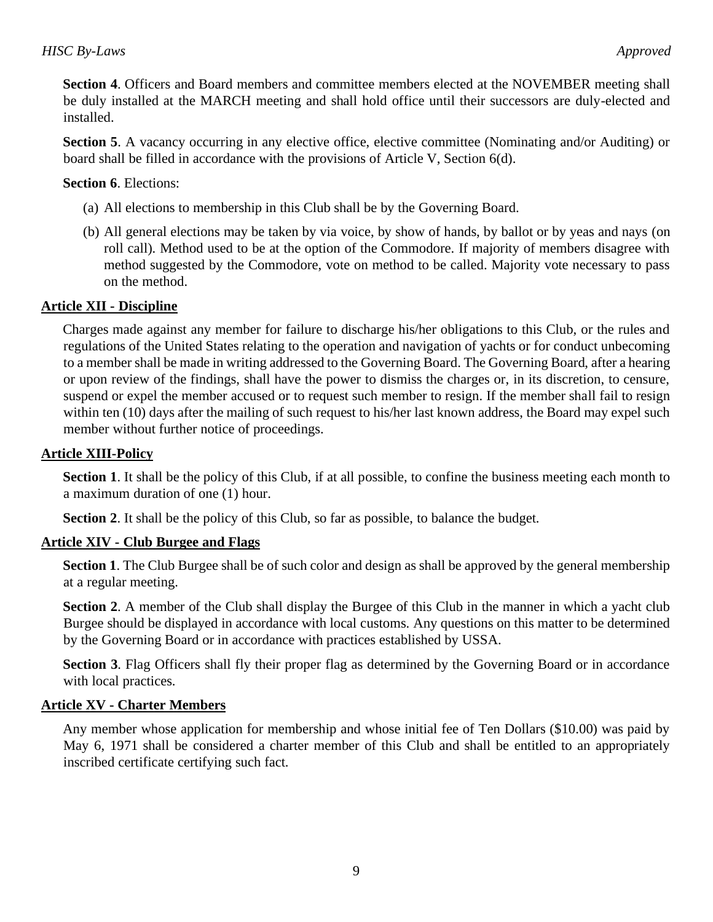**Section 4**. Officers and Board members and committee members elected at the NOVEMBER meeting shall be duly installed at the MARCH meeting and shall hold office until their successors are duly-elected and installed.

**Section 5.** A vacancy occurring in any elective office, elective committee (Nominating and/or Auditing) or board shall be filled in accordance with the provisions of Article V, Section 6(d).

### **Section 6**. Elections:

- (a) All elections to membership in this Club shall be by the Governing Board.
- (b) All general elections may be taken by via voice, by show of hands, by ballot or by yeas and nays (on roll call). Method used to be at the option of the Commodore. If majority of members disagree with method suggested by the Commodore, vote on method to be called. Majority vote necessary to pass on the method.

## **Article XII - Discipline**

Charges made against any member for failure to discharge his/her obligations to this Club, or the rules and regulations of the United States relating to the operation and navigation of yachts or for conduct unbecoming to a member shall be made in writing addressed to the Governing Board. The Governing Board, after a hearing or upon review of the findings, shall have the power to dismiss the charges or, in its discretion, to censure, suspend or expel the member accused or to request such member to resign. If the member shall fail to resign within ten (10) days after the mailing of such request to his/her last known address, the Board may expel such member without further notice of proceedings.

#### **Article XIII-Policy**

**Section 1.** It shall be the policy of this Club, if at all possible, to confine the business meeting each month to a maximum duration of one (1) hour.

**Section 2**. It shall be the policy of this Club, so far as possible, to balance the budget.

## **Article XIV - Club Burgee and Flags**

**Section 1**. The Club Burgee shall be of such color and design as shall be approved by the general membership at a regular meeting.

**Section 2.** A member of the Club shall display the Burgee of this Club in the manner in which a yacht club Burgee should be displayed in accordance with local customs. Any questions on this matter to be determined by the Governing Board or in accordance with practices established by USSA.

**Section 3**. Flag Officers shall fly their proper flag as determined by the Governing Board or in accordance with local practices.

#### **Article XV - Charter Members**

Any member whose application for membership and whose initial fee of Ten Dollars (\$10.00) was paid by May 6, 1971 shall be considered a charter member of this Club and shall be entitled to an appropriately inscribed certificate certifying such fact.